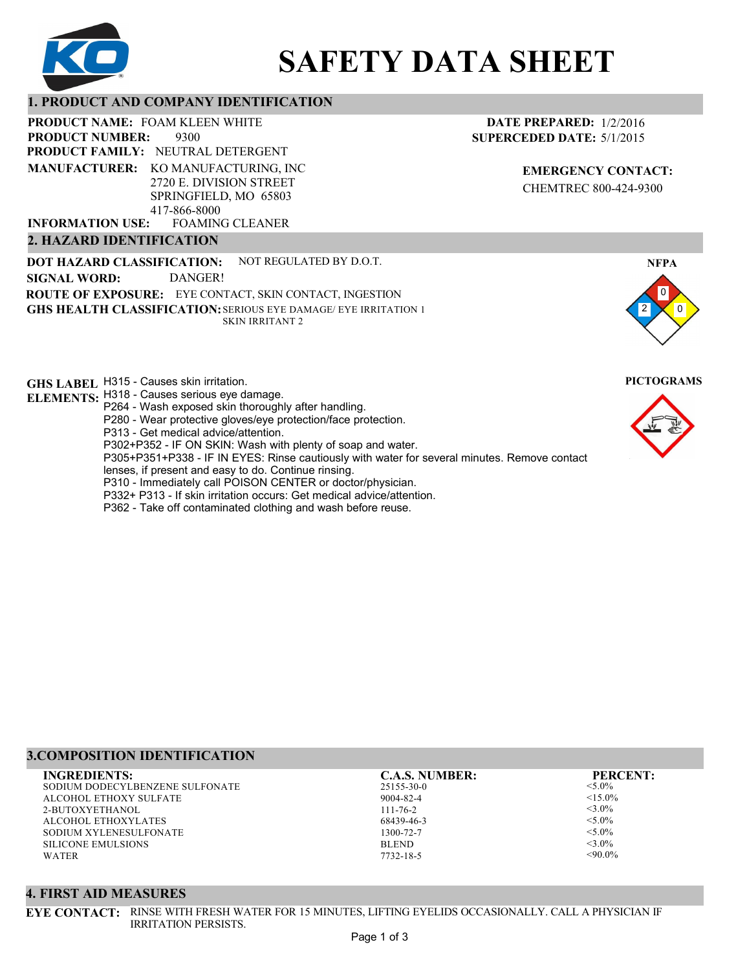

# **SAFETY DATA SHEET**

#### **1. PRODUCT AND COMPANY IDENTIFICATION**

9300 PRODUCT NAME: FOAM KLEEN WHITE **PRODUCT FAMILY: NEUTRAL DETERGENT** FOAMING CLEANER **PRODUCT NUMBER: MANUFACTURER:** KO MANUFACTURING, INC 2720 E. DIVISION STREET SPRINGFIELD, MO 65803 417-866-8000 **INFORMATION USE:**

#### **2. HAZARD IDENTIFICATION**

**DOT HAZARD CLASSIFICATION: GHS HEALTH CLASSIFICATION:** SERIOUS EYE DAMAGE/ EYE IRRITATION 1 **ROUTE OF EXPOSURE:** EYE CONTACT, SKIN CONTACT, INGESTION NOT REGULATED BY D.O.T. SKIN IRRITANT 2 **SIGNAL WORD:** DANGER!

**GHS LABEL**  H315 - Causes skin irritation. **PICTOGRAMS**

- **ELEMENTS:** H318 Causes serious eye damage. P264 - Wash exposed skin thoroughly after handling.
	- P280 Wear protective gloves/eye protection/face protection.
	- P313 Get medical advice/attention.
	- P302+P352 IF ON SKIN: Wash with plenty of soap and water.

P305+P351+P338 - IF IN EYES: Rinse cautiously with water for several minutes. Remove contact

- lenses, if present and easy to do. Continue rinsing.
- P310 Immediately call POISON CENTER or doctor/physician.
- P332+ P313 If skin irritation occurs: Get medical advice/attention.
- P362 Take off contaminated clothing and wash before reuse.

## **3.COMPOSITION IDENTIFICATION**

SODIUM DODECYLBENZENE SULFONATE ALCOHOL ETHOXY SULFATE 2-BUTOXYETHANOL ALCOHOL ETHOXYLATES SODIUM XYLENESULFONATE SILICONE EMULSIONS WATER **INGREDIENTS: C.A.S. NUMBER: PERCENT:**

25155-30-0 9004-82-4 111-76-2 68439-46-3 1300-72-7 BLEND

<5.0%  $< 15.0\%$ <3.0%  $<$ 5.0%  $< 5.0\%$  $<$ 3.0%

#### $<90.0\%$

#### **4. FIRST AID MEASURES**

**EYE CONTACT:** RINSE WITH FRESH WATER FOR 15 MINUTES, LIFTING EYELIDS OCCASIONALLY. CALL A PHYSICIAN IF IRRITATION PERSISTS.

7732-18-5

### **EMERGENCY CONTACT:** CHEMTREC 800-424-9300

**DATE PREPARED:** 1/2/2016 **SUPERCEDED DATE:** 5/1/2015



0 **NFPA**

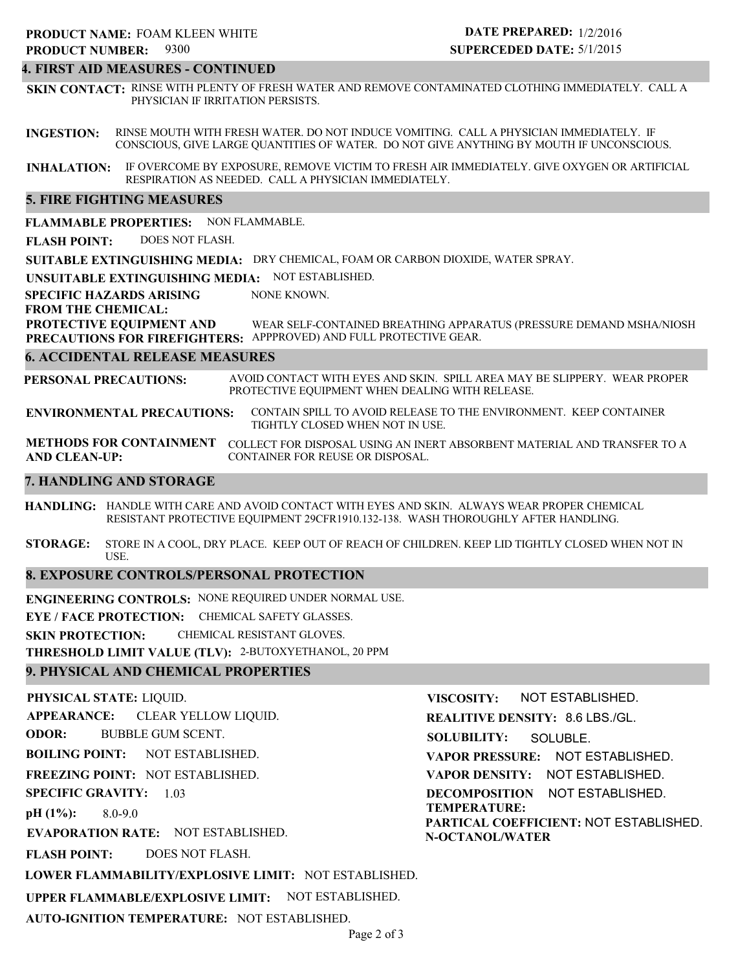#### **4. FIRST AID MEASURES - CONTINUED**

**SKIN CONTACT:** RINSE WITH PLENTY OF FRESH WATER AND REMOVE CONTAMINATED CLOTHING IMMEDIATELY. CALL A PHYSICIAN IF IRRITATION PERSISTS.

**INGESTION:** RINSE MOUTH WITH FRESH WATER. DO NOT INDUCE VOMITING. CALL A PHYSICIAN IMMEDIATELY. IF CONSCIOUS, GIVE LARGE QUANTITIES OF WATER. DO NOT GIVE ANYTHING BY MOUTH IF UNCONSCIOUS.

**INHALATION:** IF OVERCOME BY EXPOSURE, REMOVE VICTIM TO FRESH AIR IMMEDIATELY. GIVE OXYGEN OR ARTIFICIAL RESPIRATION AS NEEDED. CALL A PHYSICIAN IMMEDIATELY.

#### **5. FIRE FIGHTING MEASURES**

**FLAMMABLE PROPERTIES:** NON FLAMMABLE.

**FLASH POINT:** DOES NOT FLASH.

**SUITABLE EXTINGUISHING MEDIA:** DRY CHEMICAL, FOAM OR CARBON DIOXIDE, WATER SPRAY.

**UNSUITABLE EXTINGUISHING MEDIA:** NOT ESTABLISHED.

**SPECIFIC HAZARDS ARISING** NONE KNOWN.

**FROM THE CHEMICAL:**

**PROTECTIVE EQUIPMENT AND** WEAR SELF-CONTAINED BREATHING APPARATUS (PRESSURE DEMAND MSHA/NIOSH

**PRECAUTIONS FOR FIREFIGHTERS:** APPPROVED) AND FULL PROTECTIVE GEAR.

#### **6. ACCIDENTAL RELEASE MEASURES**

**PERSONAL PRECAUTIONS:** AVOID CONTACT WITH EYES AND SKIN. SPILL AREA MAY BE SLIPPERY. WEAR PROPER PROTECTIVE EQUIPMENT WHEN DEALING WITH RELEASE.

**ENVIRONMENTAL PRECAUTIONS:** CONTAIN SPILL TO AVOID RELEASE TO THE ENVIRONMENT. KEEP CONTAINER TIGHTLY CLOSED WHEN NOT IN USE.

**METHODS FOR CONTAINMENT** COLLECT FOR DISPOSAL USING AN INERT ABSORBENT MATERIAL AND TRANSFER TO A **AND CLEAN-UP:** CONTAINER FOR REUSE OR DISPOSAL.

#### **7. HANDLING AND STORAGE**

**HANDLING:** HANDLE WITH CARE AND AVOID CONTACT WITH EYES AND SKIN. ALWAYS WEAR PROPER CHEMICAL RESISTANT PROTECTIVE EQUIPMENT 29CFR1910.132-138. WASH THOROUGHLY AFTER HANDLING.

**STORAGE:** STORE IN A COOL, DRY PLACE. KEEP OUT OF REACH OF CHILDREN. KEEP LID TIGHTLY CLOSED WHEN NOT IN USE.

#### **8. EXPOSURE CONTROLS/PERSONAL PROTECTION**

**ENGINEERING CONTROLS:** NONE REQUIRED UNDER NORMAL USE.

**EYE / FACE PROTECTION:** CHEMICAL SAFETY GLASSES.

**SKIN PROTECTION:** CHEMICAL RESISTANT GLOVES.

**THRESHOLD LIMIT VALUE (TLV):** 2-BUTOXYETHANOL, 20 PPM

#### **9. PHYSICAL AND CHEMICAL PROPERTIES**

**PHYSICAL STATE:** LIQUID. **APPEARANCE: ODOR: BOILING POINT: FREEZING POINT:** NOT ESTABLISHED. **SPECIFIC GRAVITY:** 1.03 **pH (1%): EVAPORATION RATE:** NOT ESTABLISHED. **FLASH POINT: LOWER FLAMMABILITY/EXPLOSIVE LIMIT:** NOT ESTABLISHED. **UPPER FLAMMABLE/EXPLOSIVE LIMIT:** NOT ESTABLISHED. NOT ESTABLISHED. 8.0-9.0 DOES NOT FLASH. CLEAR YELLOW LIQUID. BUBBLE GUM SCENT. **VISCOSITY: REALITIVE DENSITY:** 8.6 LBS./GL. **SOLUBILITY: VAPOR PRESSURE:** NOT ESTABLISHED. **VAPOR DENSITY:** NOT ESTABLISHED. **DECOMPOSITION** NOT ESTABLISHED. **TEMPERATURE: PARTICAL COEFFICIENT:** NOT ESTABLISHED. **N-OCTANOL/WATER** NOT ESTABLISHED. SOLUBLE.

**AUTO-IGNITION TEMPERATURE:** NOT ESTABLISHED.